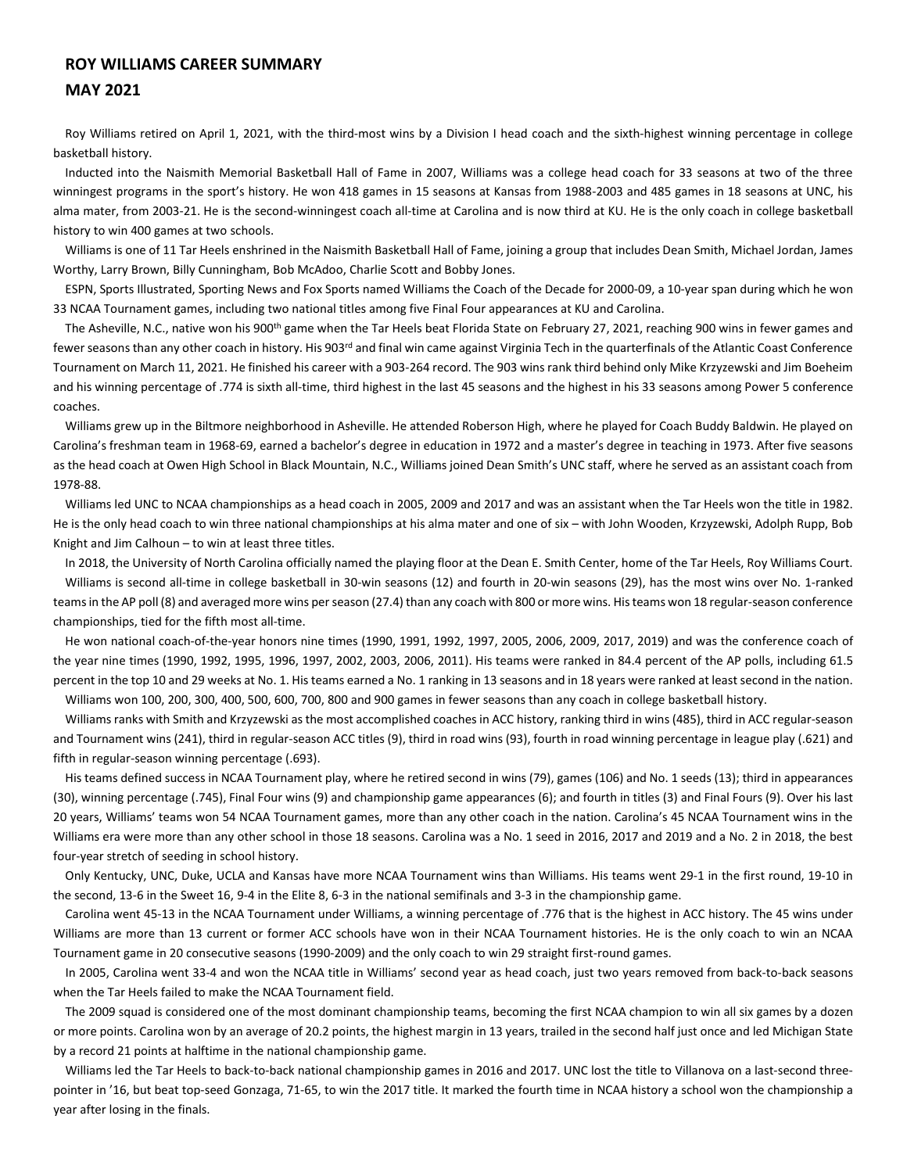## **ROY WILLIAMS CAREER SUMMARY**

## **MAY 2021**

Roy Williams retired on April 1, 2021, with the third-most wins by a Division I head coach and the sixth-highest winning percentage in college basketball history.

Inducted into the Naismith Memorial Basketball Hall of Fame in 2007, Williams was a college head coach for 33 seasons at two of the three winningest programs in the sport's history. He won 418 games in 15 seasons at Kansas from 1988-2003 and 485 games in 18 seasons at UNC, his alma mater, from 2003-21. He is the second-winningest coach all-time at Carolina and is now third at KU. He is the only coach in college basketball history to win 400 games at two schools.

Williams is one of 11 Tar Heels enshrined in the Naismith Basketball Hall of Fame, joining a group that includes Dean Smith, Michael Jordan, James Worthy, Larry Brown, Billy Cunningham, Bob McAdoo, Charlie Scott and Bobby Jones.

ESPN, Sports Illustrated, Sporting News and Fox Sports named Williams the Coach of the Decade for 2000-09, a 10-year span during which he won 33 NCAA Tournament games, including two national titles among five Final Four appearances at KU and Carolina.

The Asheville, N.C., native won his 900<sup>th</sup> game when the Tar Heels beat Florida State on February 27, 2021, reaching 900 wins in fewer games and fewer seasons than any other coach in history. His 903<sup>rd</sup> and final win came against Virginia Tech in the quarterfinals of the Atlantic Coast Conference Tournament on March 11, 2021. He finished his career with a 903-264 record. The 903 wins rank third behind only Mike Krzyzewski and Jim Boeheim and his winning percentage of .774 is sixth all-time, third highest in the last 45 seasons and the highest in his 33 seasons among Power 5 conference coaches.

Williams grew up in the Biltmore neighborhood in Asheville. He attended Roberson High, where he played for Coach Buddy Baldwin. He played on Carolina's freshman team in 1968-69, earned a bachelor's degree in education in 1972 and a master's degree in teaching in 1973. After five seasons as the head coach at Owen High School in Black Mountain, N.C., Williams joined Dean Smith's UNC staff, where he served as an assistant coach from 1978-88.

Williams led UNC to NCAA championships as a head coach in 2005, 2009 and 2017 and was an assistant when the Tar Heels won the title in 1982. He is the only head coach to win three national championships at his alma mater and one of six – with John Wooden, Krzyzewski, Adolph Rupp, Bob Knight and Jim Calhoun – to win at least three titles.

In 2018, the University of North Carolina officially named the playing floor at the Dean E. Smith Center, home of the Tar Heels, Roy Williams Court. Williams is second all-time in college basketball in 30-win seasons (12) and fourth in 20-win seasons (29), has the most wins over No. 1-ranked teams in the AP poll (8) and averaged more wins per season (27.4) than any coach with 800 or more wins. His teams won 18 regular-season conference championships, tied for the fifth most all-time.

He won national coach-of-the-year honors nine times (1990, 1991, 1992, 1997, 2005, 2006, 2009, 2017, 2019) and was the conference coach of the year nine times (1990, 1992, 1995, 1996, 1997, 2002, 2003, 2006, 2011). His teams were ranked in 84.4 percent of the AP polls, including 61.5 percent in the top 10 and 29 weeks at No. 1. His teams earned a No. 1 ranking in 13 seasons and in 18 years were ranked at least second in the nation. Williams won 100, 200, 300, 400, 500, 600, 700, 800 and 900 games in fewer seasons than any coach in college basketball history.

Williams ranks with Smith and Krzyzewski as the most accomplished coaches in ACC history, ranking third in wins (485), third in ACC regular-season and Tournament wins (241), third in regular-season ACC titles (9), third in road wins (93), fourth in road winning percentage in league play (.621) and fifth in regular-season winning percentage (.693).

His teams defined success in NCAA Tournament play, where he retired second in wins (79), games (106) and No. 1 seeds (13); third in appearances (30), winning percentage (.745), Final Four wins (9) and championship game appearances (6); and fourth in titles (3) and Final Fours (9). Over his last 20 years, Williams' teams won 54 NCAA Tournament games, more than any other coach in the nation. Carolina's 45 NCAA Tournament wins in the Williams era were more than any other school in those 18 seasons. Carolina was a No. 1 seed in 2016, 2017 and 2019 and a No. 2 in 2018, the best four-year stretch of seeding in school history.

Only Kentucky, UNC, Duke, UCLA and Kansas have more NCAA Tournament wins than Williams. His teams went 29-1 in the first round, 19-10 in the second, 13-6 in the Sweet 16, 9-4 in the Elite 8, 6-3 in the national semifinals and 3-3 in the championship game.

Carolina went 45-13 in the NCAA Tournament under Williams, a winning percentage of .776 that is the highest in ACC history. The 45 wins under Williams are more than 13 current or former ACC schools have won in their NCAA Tournament histories. He is the only coach to win an NCAA Tournament game in 20 consecutive seasons (1990-2009) and the only coach to win 29 straight first-round games.

In 2005, Carolina went 33-4 and won the NCAA title in Williams' second year as head coach, just two years removed from back-to-back seasons when the Tar Heels failed to make the NCAA Tournament field.

The 2009 squad is considered one of the most dominant championship teams, becoming the first NCAA champion to win all six games by a dozen or more points. Carolina won by an average of 20.2 points, the highest margin in 13 years, trailed in the second half just once and led Michigan State by a record 21 points at halftime in the national championship game.

Williams led the Tar Heels to back-to-back national championship games in 2016 and 2017. UNC lost the title to Villanova on a last-second threepointer in '16, but beat top-seed Gonzaga, 71-65, to win the 2017 title. It marked the fourth time in NCAA history a school won the championship a year after losing in the finals.